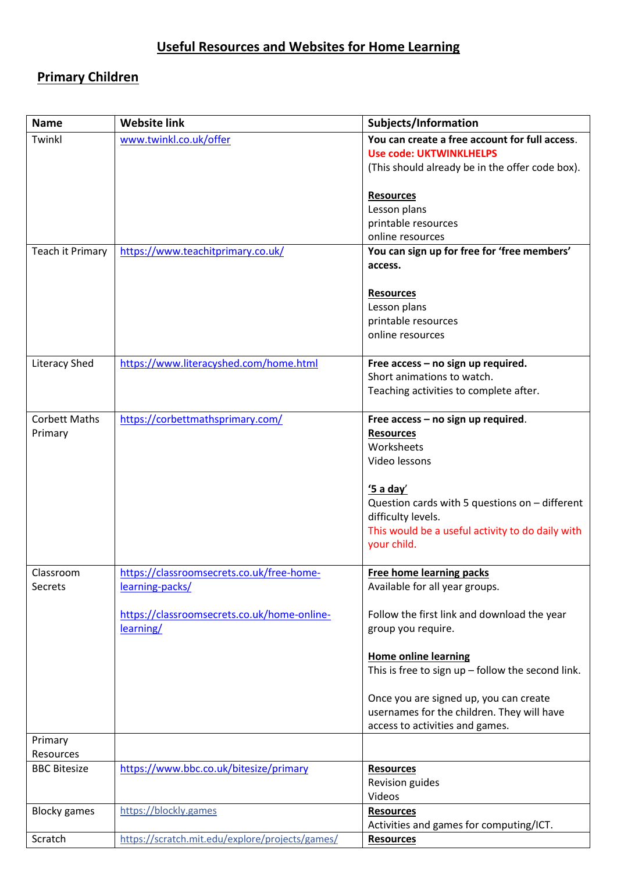## **Useful Resources and Websites for Home Learning**

## **Primary Children**

| <b>Name</b>          | <b>Website link</b>                             | Subjects/Information                                |
|----------------------|-------------------------------------------------|-----------------------------------------------------|
| Twinkl               | www.twinkl.co.uk/offer                          | You can create a free account for full access.      |
|                      |                                                 | <b>Use code: UKTWINKLHELPS</b>                      |
|                      |                                                 | (This should already be in the offer code box).     |
|                      |                                                 | <b>Resources</b>                                    |
|                      |                                                 | Lesson plans                                        |
|                      |                                                 | printable resources                                 |
|                      |                                                 | online resources                                    |
| Teach it Primary     | https://www.teachitprimary.co.uk/               | You can sign up for free for 'free members'         |
|                      |                                                 | access.                                             |
|                      |                                                 | <b>Resources</b>                                    |
|                      |                                                 | Lesson plans                                        |
|                      |                                                 | printable resources                                 |
|                      |                                                 | online resources                                    |
|                      |                                                 |                                                     |
| <b>Literacy Shed</b> | https://www.literacyshed.com/home.html          | Free access - no sign up required.                  |
|                      |                                                 | Short animations to watch.                          |
|                      |                                                 | Teaching activities to complete after.              |
| <b>Corbett Maths</b> | https://corbettmathsprimary.com/                | Free access - no sign up required.                  |
| Primary              |                                                 | <b>Resources</b>                                    |
|                      |                                                 | Worksheets                                          |
|                      |                                                 | Video lessons                                       |
|                      |                                                 |                                                     |
|                      |                                                 | '5a day'                                            |
|                      |                                                 | Question cards with 5 questions on - different      |
|                      |                                                 | difficulty levels.                                  |
|                      |                                                 | This would be a useful activity to do daily with    |
|                      |                                                 | your child.                                         |
| Classroom            | https://classroomsecrets.co.uk/free-home-       | <b>Free home learning packs</b>                     |
| Secrets              | learning-packs/                                 | Available for all year groups.                      |
|                      | https://classroomsecrets.co.uk/home-online-     | Follow the first link and download the year         |
|                      | learning/                                       | group you require.                                  |
|                      |                                                 |                                                     |
|                      |                                                 | <b>Home online learning</b>                         |
|                      |                                                 | This is free to sign $up$ - follow the second link. |
|                      |                                                 | Once you are signed up, you can create              |
|                      |                                                 | usernames for the children. They will have          |
|                      |                                                 | access to activities and games.                     |
| Primary              |                                                 |                                                     |
| Resources            |                                                 |                                                     |
| <b>BBC Bitesize</b>  | https://www.bbc.co.uk/bitesize/primary          | <b>Resources</b>                                    |
|                      |                                                 | <b>Revision guides</b>                              |
|                      |                                                 | Videos                                              |
| <b>Blocky games</b>  | https://blockly.games                           | <b>Resources</b>                                    |
|                      |                                                 | Activities and games for computing/ICT.             |
| Scratch              | https://scratch.mit.edu/explore/projects/games/ | <b>Resources</b>                                    |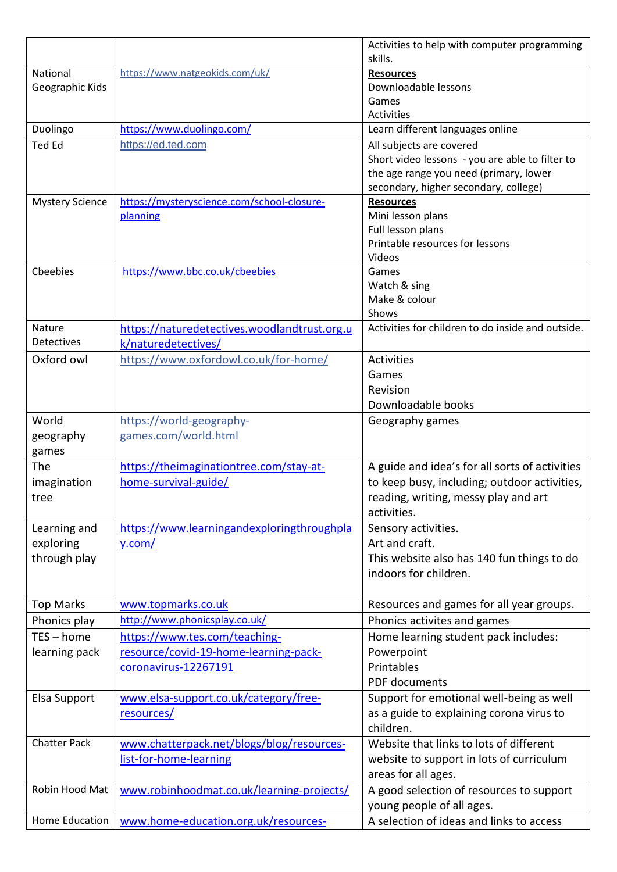|                        |                                              | Activities to help with computer programming      |
|------------------------|----------------------------------------------|---------------------------------------------------|
|                        |                                              | skills.                                           |
| National               | https://www.natgeokids.com/uk/               | <b>Resources</b>                                  |
| Geographic Kids        |                                              | Downloadable lessons                              |
|                        |                                              | Games                                             |
|                        |                                              | <b>Activities</b>                                 |
| Duolingo               | https://www.duolingo.com/                    | Learn different languages online                  |
| <b>Ted Ed</b>          | https://ed.ted.com                           | All subjects are covered                          |
|                        |                                              | Short video lessons - you are able to filter to   |
|                        |                                              | the age range you need (primary, lower            |
|                        |                                              | secondary, higher secondary, college)             |
| <b>Mystery Science</b> | https://mysteryscience.com/school-closure-   | <b>Resources</b>                                  |
|                        | planning                                     | Mini lesson plans                                 |
|                        |                                              | Full lesson plans                                 |
|                        |                                              | Printable resources for lessons                   |
|                        |                                              | Videos                                            |
| Cheebies               | https://www.bbc.co.uk/cbeebies               | Games                                             |
|                        |                                              | Watch & sing                                      |
|                        |                                              | Make & colour                                     |
|                        |                                              | Shows                                             |
| Nature                 | https://naturedetectives.woodlandtrust.org.u | Activities for children to do inside and outside. |
| <b>Detectives</b>      | k/naturedetectives/                          |                                                   |
| Oxford owl             | https://www.oxfordowl.co.uk/for-home/        | Activities                                        |
|                        |                                              | Games                                             |
|                        |                                              |                                                   |
|                        |                                              | Revision                                          |
|                        |                                              | Downloadable books                                |
| World                  | https://world-geography-                     | Geography games                                   |
| geography              | games.com/world.html                         |                                                   |
| games                  |                                              |                                                   |
| The                    | https://theimaginationtree.com/stay-at-      | A guide and idea's for all sorts of activities    |
| imagination            | home-survival-guide/                         | to keep busy, including; outdoor activities,      |
| tree                   |                                              | reading, writing, messy play and art              |
|                        |                                              | activities.                                       |
| Learning and           | https://www.learningandexploringthroughpla   | Sensory activities.                               |
| exploring              | y.com/                                       | Art and craft.                                    |
| through play           |                                              |                                                   |
|                        |                                              | This website also has 140 fun things to do        |
|                        |                                              | indoors for children.                             |
|                        |                                              |                                                   |
| <b>Top Marks</b>       | www.topmarks.co.uk                           | Resources and games for all year groups.          |
| Phonics play           | http://www.phonicsplay.co.uk/                | Phonics activites and games                       |
| TES-home               | https://www.tes.com/teaching-                | Home learning student pack includes:              |
| learning pack          | resource/covid-19-home-learning-pack-        | Powerpoint                                        |
|                        | coronavirus-12267191                         | Printables                                        |
|                        |                                              | PDF documents                                     |
| Elsa Support           | www.elsa-support.co.uk/category/free-        | Support for emotional well-being as well          |
|                        | resources/                                   | as a guide to explaining corona virus to          |
|                        |                                              | children.                                         |
|                        |                                              |                                                   |
| <b>Chatter Pack</b>    | www.chatterpack.net/blogs/blog/resources-    | Website that links to lots of different           |
|                        | list-for-home-learning                       | website to support in lots of curriculum          |
|                        |                                              | areas for all ages.                               |
| Robin Hood Mat         | www.robinhoodmat.co.uk/learning-projects/    | A good selection of resources to support          |
|                        |                                              | young people of all ages.                         |
| Home Education         | www.home-education.org.uk/resources-         | A selection of ideas and links to access          |